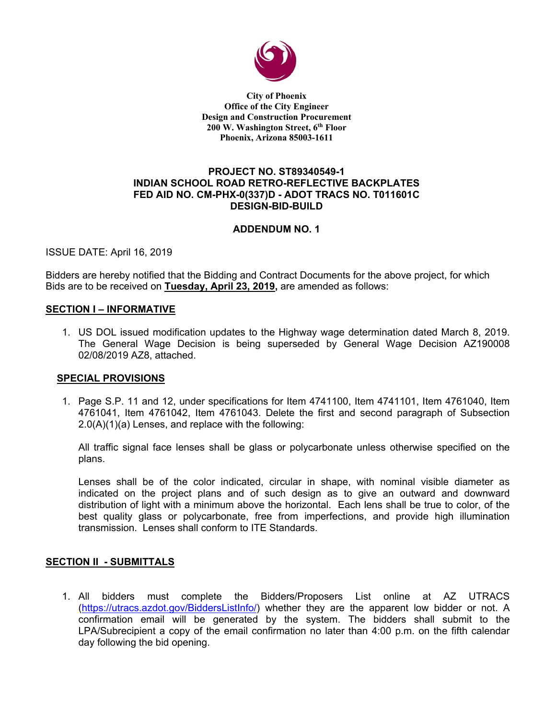

**City of Phoenix Office of the City Engineer Design and Construction Procurement 200 W. Washington Street, 6th Floor Phoenix, Arizona 85003-1611** 

# **PROJECT NO. ST89340549-1 INDIAN SCHOOL ROAD RETRO-REFLECTIVE BACKPLATES FED AID NO. CM-PHX-0(337)D - ADOT TRACS NO. T011601C DESIGN-BID-BUILD**

# **ADDENDUM NO. 1**

ISSUE DATE: April 16, 2019

Bidders are hereby notified that the Bidding and Contract Documents for the above project, for which Bids are to be received on **Tuesday, April 23, 2019,** are amended as follows:

### **SECTION I – INFORMATIVE**

1. US DOL issued modification updates to the Highway wage determination dated March 8, 2019. The General Wage Decision is being superseded by General Wage Decision AZ190008 02/08/2019 AZ8, attached.

## **SPECIAL PROVISIONS**

1. Page S.P. 11 and 12, under specifications for Item 4741100, Item 4741101, Item 4761040, Item 4761041, Item 4761042, Item 4761043. Delete the first and second paragraph of Subsection 2.0(A)(1)(a) Lenses, and replace with the following:

All traffic signal face lenses shall be glass or polycarbonate unless otherwise specified on the plans.

Lenses shall be of the color indicated, circular in shape, with nominal visible diameter as indicated on the project plans and of such design as to give an outward and downward distribution of light with a minimum above the horizontal. Each lens shall be true to color, of the best quality glass or polycarbonate, free from imperfections, and provide high illumination transmission. Lenses shall conform to ITE Standards.

## **SECTION II - SUBMITTALS**

1. All bidders must complete the Bidders/Proposers List online at AZ UTRACS (https://utracs.azdot.gov/BiddersListInfo/) whether they are the apparent low bidder or not. A confirmation email will be generated by the system. The bidders shall submit to the LPA/Subrecipient a copy of the email confirmation no later than 4:00 p.m. on the fifth calendar day following the bid opening.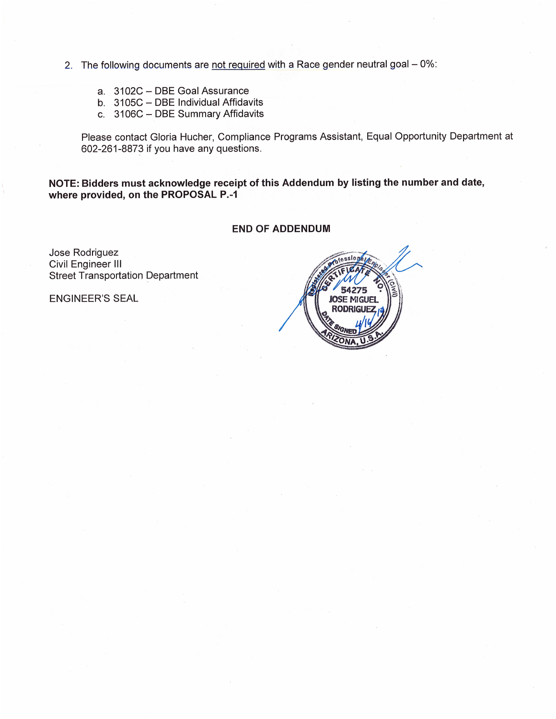- 2. The following documents are not required with a Race gender neutral goal 0%:
	- a. 3102C DBE Goal Assurance
	- b. 3105C DBE Individual Affidavits
	- c. 3106C DBE Summary Affidavits

Please contact Gloria Hucher, Compliance Programs Assistant, Equal Opportunity Department at 602-261-8873 if you have any questions.

NOTE: Bidders must acknowledge receipt of this Addendum by listing the number and date, where provided, on the PROPOSAL P.-1

## **END OF ADDENDUM**

Jose Rodriguez Civil Engineer III **Street Transportation Department** 

**ENGINEER'S SEAL** 

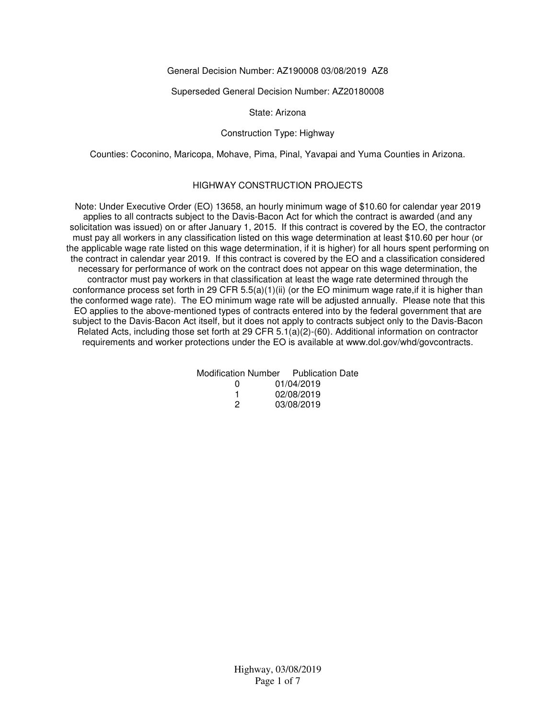### General Decision Number: AZ190008 03/08/2019 AZ8

#### Superseded General Decision Number: AZ20180008

#### State: Arizona

### Construction Type: Highway

Counties: Coconino, Maricopa, Mohave, Pima, Pinal, Yavapai and Yuma Counties in Arizona.

### HIGHWAY CONSTRUCTION PROJECTS

Note: Under Executive Order (EO) 13658, an hourly minimum wage of \$10.60 for calendar year 2019 applies to all contracts subject to the Davis-Bacon Act for which the contract is awarded (and any solicitation was issued) on or after January 1, 2015. If this contract is covered by the EO, the contractor must pay all workers in any classification listed on this wage determination at least \$10.60 per hour (or the applicable wage rate listed on this wage determination, if it is higher) for all hours spent performing on the contract in calendar year 2019. If this contract is covered by the EO and a classification considered necessary for performance of work on the contract does not appear on this wage determination, the contractor must pay workers in that classification at least the wage rate determined through the conformance process set forth in 29 CFR  $5.5(a)(1)(ii)$  (or the EO minimum wage rate, if it is higher than the conformed wage rate). The EO minimum wage rate will be adjusted annually. Please note that this EO applies to the above-mentioned types of contracts entered into by the federal government that are subject to the Davis-Bacon Act itself, but it does not apply to contracts subject only to the Davis-Bacon Related Acts, including those set forth at 29 CFR 5.1(a)(2)-(60). Additional information on contractor requirements and worker protections under the EO is available at www.dol.gov/whd/govcontracts.

|              | Modification Number Publication Date |
|--------------|--------------------------------------|
| $\mathbf{U}$ | 01/04/2019                           |
|              | 02/08/2019                           |
| 2            | 03/08/2019                           |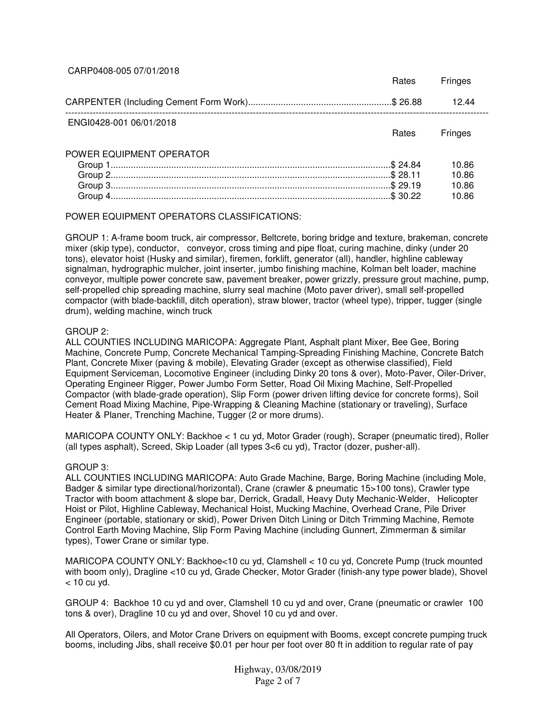### CARP0408-005 07/01/2018

|                          | <b>Rates</b> | Fringes                          |
|--------------------------|--------------|----------------------------------|
|                          |              | 1244                             |
| ENGI0428-001 06/01/2018  | <b>Rates</b> | Fringes                          |
| POWER EQUIPMENT OPERATOR |              | 10.86<br>10.86<br>10.86<br>10.86 |

## POWER EQUIPMENT OPERATORS CLASSIFICATIONS:

GROUP 1: A-frame boom truck, air compressor, Beltcrete, boring bridge and texture, brakeman, concrete mixer (skip type), conductor, conveyor, cross timing and pipe float, curing machine, dinky (under 20 tons), elevator hoist (Husky and similar), firemen, forklift, generator (all), handler, highline cableway signalman, hydrographic mulcher, joint inserter, jumbo finishing machine, Kolman belt loader, machine conveyor, multiple power concrete saw, pavement breaker, power grizzly, pressure grout machine, pump, self-propelled chip spreading machine, slurry seal machine (Moto paver driver), small self-propelled compactor (with blade-backfill, ditch operation), straw blower, tractor (wheel type), tripper, tugger (single drum), welding machine, winch truck

#### GROUP 2:

ALL COUNTIES INCLUDING MARICOPA: Aggregate Plant, Asphalt plant Mixer, Bee Gee, Boring Machine, Concrete Pump, Concrete Mechanical Tamping-Spreading Finishing Machine, Concrete Batch Plant, Concrete Mixer (paving & mobile), Elevating Grader (except as otherwise classified), Field Equipment Serviceman, Locomotive Engineer (including Dinky 20 tons & over), Moto-Paver, Oiler-Driver, Operating Engineer Rigger, Power Jumbo Form Setter, Road Oil Mixing Machine, Self-Propelled Compactor (with blade-grade operation), Slip Form (power driven lifting device for concrete forms), Soil Cement Road Mixing Machine, Pipe-Wrapping & Cleaning Machine (stationary or traveling), Surface Heater & Planer, Trenching Machine, Tugger (2 or more drums).

MARICOPA COUNTY ONLY: Backhoe < 1 cu yd, Motor Grader (rough), Scraper (pneumatic tired), Roller (all types asphalt), Screed, Skip Loader (all types 3<6 cu yd), Tractor (dozer, pusher-all).

#### GROUP 3:

ALL COUNTIES INCLUDING MARICOPA: Auto Grade Machine, Barge, Boring Machine (including Mole, Badger & similar type directional/horizontal), Crane (crawler & pneumatic 15>100 tons), Crawler type Tractor with boom attachment & slope bar, Derrick, Gradall, Heavy Duty Mechanic-Welder, Helicopter Hoist or Pilot, Highline Cableway, Mechanical Hoist, Mucking Machine, Overhead Crane, Pile Driver Engineer (portable, stationary or skid), Power Driven Ditch Lining or Ditch Trimming Machine, Remote Control Earth Moving Machine, Slip Form Paving Machine (including Gunnert, Zimmerman & similar types), Tower Crane or similar type.

MARICOPA COUNTY ONLY: Backhoe<10 cu yd, Clamshell < 10 cu yd, Concrete Pump (truck mounted with boom only), Dragline <10 cu yd, Grade Checker, Motor Grader (finish-any type power blade), Shovel  $<$  10 cu vd.

GROUP 4: Backhoe 10 cu yd and over, Clamshell 10 cu yd and over, Crane (pneumatic or crawler 100 tons & over), Dragline 10 cu yd and over, Shovel 10 cu yd and over.

All Operators, Oilers, and Motor Crane Drivers on equipment with Booms, except concrete pumping truck booms, including Jibs, shall receive \$0.01 per hour per foot over 80 ft in addition to regular rate of pay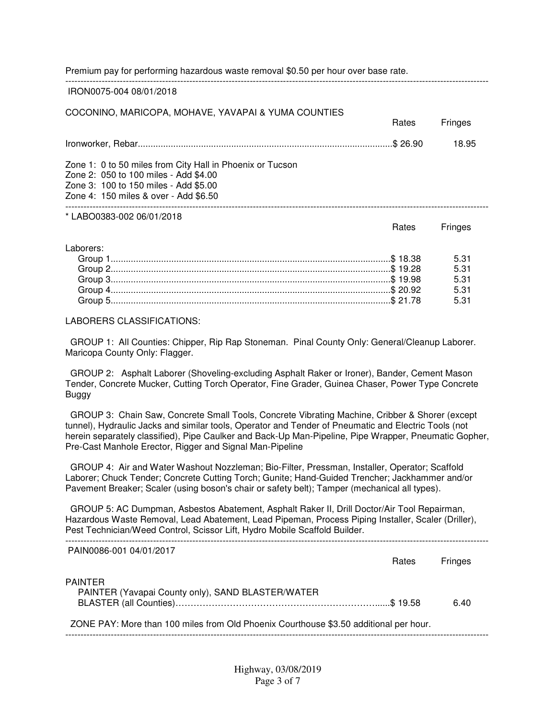Premium pay for performing hazardous waste removal \$0.50 per hour over base rate.

#### IRON0075-004 08/01/2018

#### COCONINO, MARICOPA, MOHAVE, YAVAPAI & YUMA COUNTIES

|                                                                                                                                                                                      | ιιαισο | 1 111 14 <del>0</del> 0              |  |
|--------------------------------------------------------------------------------------------------------------------------------------------------------------------------------------|--------|--------------------------------------|--|
|                                                                                                                                                                                      |        | 18.95                                |  |
| Zone 1: 0 to 50 miles from City Hall in Phoenix or Tucson<br>Zone 2: 050 to 100 miles - Add \$4.00<br>Zone 3: 100 to 150 miles - Add \$5.00<br>Zone 4: 150 miles & over - Add \$6.50 |        |                                      |  |
| *LABO0383-002 06/01/2018                                                                                                                                                             | Rates  | <b>Fringes</b>                       |  |
| Laborers:                                                                                                                                                                            |        | 5.31<br>5.31<br>5.31<br>5.31<br>5.31 |  |
|                                                                                                                                                                                      |        |                                      |  |

--------------------------------------------------------------------------------------------------------------------------------------------

Rates Fringes

#### LABORERS CLASSIFICATIONS:

 GROUP 1: All Counties: Chipper, Rip Rap Stoneman. Pinal County Only: General/Cleanup Laborer. Maricopa County Only: Flagger.

 GROUP 2: Asphalt Laborer (Shoveling-excluding Asphalt Raker or Ironer), Bander, Cement Mason Tender, Concrete Mucker, Cutting Torch Operator, Fine Grader, Guinea Chaser, Power Type Concrete Buggy

 GROUP 3: Chain Saw, Concrete Small Tools, Concrete Vibrating Machine, Cribber & Shorer (except tunnel), Hydraulic Jacks and similar tools, Operator and Tender of Pneumatic and Electric Tools (not herein separately classified), Pipe Caulker and Back-Up Man-Pipeline, Pipe Wrapper, Pneumatic Gopher, Pre-Cast Manhole Erector, Rigger and Signal Man-Pipeline

 GROUP 4: Air and Water Washout Nozzleman; Bio-Filter, Pressman, Installer, Operator; Scaffold Laborer; Chuck Tender; Concrete Cutting Torch; Gunite; Hand-Guided Trencher; Jackhammer and/or Pavement Breaker; Scaler (using boson's chair or safety belt); Tamper (mechanical all types).

 GROUP 5: AC Dumpman, Asbestos Abatement, Asphalt Raker II, Drill Doctor/Air Tool Repairman, Hazardous Waste Removal, Lead Abatement, Lead Pipeman, Process Piping Installer, Scaler (Driller), Pest Technician/Weed Control, Scissor Lift, Hydro Mobile Scaffold Builder. --------------------------------------------------------------------------------------------------------------------------------------------

| PAIN0086-001 04/01/2017                                                               | <b>Rates</b> | Fringes |
|---------------------------------------------------------------------------------------|--------------|---------|
| <b>PAINTER</b><br>PAINTER (Yavapai County only), SAND BLASTER/WATER                   |              | 6.40    |
| ZONE PAY: More than 100 miles from Old Phoenix Courthouse \$3.50 additional per hour. |              |         |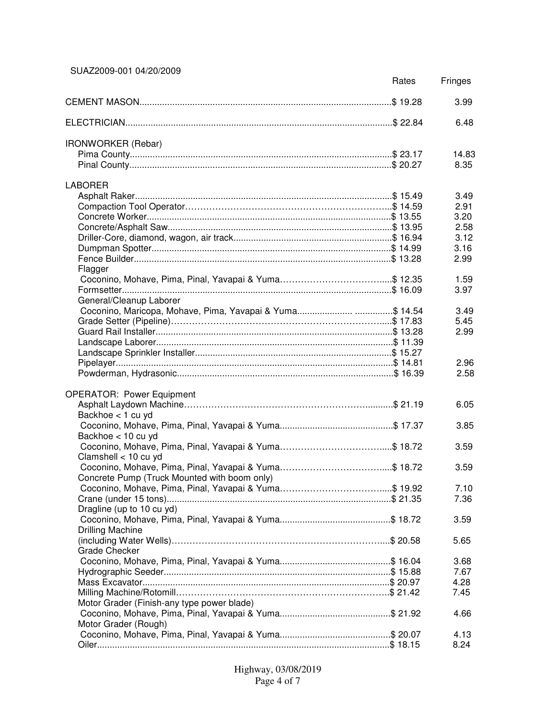SUAZ2009-001 04/20/2009

|                                                       | Rates | Fringes      |
|-------------------------------------------------------|-------|--------------|
|                                                       |       | 3.99         |
|                                                       |       | 6.48         |
| <b>IRONWORKER</b> (Rebar)                             |       |              |
|                                                       |       | 14.83        |
|                                                       |       | 8.35         |
| <b>LABORER</b>                                        |       |              |
|                                                       |       | 3.49         |
|                                                       |       | 2.91         |
|                                                       |       | 3.20         |
|                                                       |       | 2.58         |
|                                                       |       | 3.12         |
|                                                       |       | 3.16         |
|                                                       |       | 2.99         |
| Flagger                                               |       |              |
| Coconino, Mohave, Pima, Pinal, Yavapai & Yuma\$ 12.35 |       | 1.59<br>3.97 |
| General/Cleanup Laborer                               |       |              |
|                                                       |       | 3.49         |
|                                                       |       | 5.45         |
|                                                       |       | 2.99         |
|                                                       |       |              |
|                                                       |       |              |
|                                                       |       | 2.96         |
|                                                       |       | 2.58         |
| <b>OPERATOR: Power Equipment</b>                      |       |              |
|                                                       |       | 6.05         |
| Backhoe < 1 cu yd                                     |       |              |
|                                                       |       | 3.85         |
| Backhoe < 10 cu yd                                    |       |              |
|                                                       |       | 3.59         |
| Clamshell < 10 cu yd                                  |       |              |
|                                                       |       | 3.59         |
| Concrete Pump (Truck Mounted with boom only)          |       |              |
|                                                       |       | 7.10         |
|                                                       |       | 7.36         |
| Dragline (up to 10 cu yd)                             |       |              |
|                                                       |       | 3.59         |
| <b>Drilling Machine</b>                               |       |              |
|                                                       |       | 5.65         |
| Grade Checker                                         |       |              |
|                                                       |       | 3.68<br>7.67 |
|                                                       |       | 4.28         |
|                                                       |       | 7.45         |
| Motor Grader (Finish-any type power blade)            |       |              |
|                                                       |       | 4.66         |
| Motor Grader (Rough)                                  |       |              |
|                                                       |       | 4.13         |
|                                                       |       | 8.24         |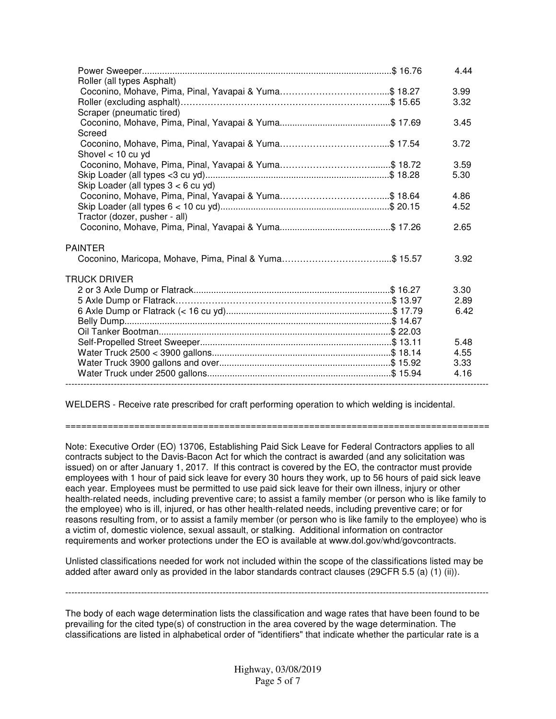| Roller (all types Asphalt)            | 4.44 |
|---------------------------------------|------|
|                                       | 3.99 |
|                                       | 3.32 |
| Scraper (pneumatic tired)             |      |
| Screed                                | 3.45 |
| Shovel $<$ 10 cu yd                   | 3.72 |
|                                       | 3.59 |
|                                       | 5.30 |
| Skip Loader (all types $3 < 6$ cu yd) |      |
|                                       | 4.86 |
|                                       | 4.52 |
| Tractor (dozer, pusher - all)         |      |
|                                       | 2.65 |
| <b>PAINTER</b>                        |      |
|                                       | 3.92 |
| TRUCK DRIVER                          |      |
|                                       | 3.30 |
|                                       | 2.89 |
|                                       | 6.42 |
|                                       |      |
|                                       |      |
|                                       | 5.48 |
|                                       | 4.55 |
|                                       | 3.33 |
|                                       | 4.16 |
|                                       |      |

WELDERS - Receive rate prescribed for craft performing operation to which welding is incidental.

================================================================================

Note: Executive Order (EO) 13706, Establishing Paid Sick Leave for Federal Contractors applies to all contracts subject to the Davis-Bacon Act for which the contract is awarded (and any solicitation was issued) on or after January 1, 2017. If this contract is covered by the EO, the contractor must provide employees with 1 hour of paid sick leave for every 30 hours they work, up to 56 hours of paid sick leave each year. Employees must be permitted to use paid sick leave for their own illness, injury or other health-related needs, including preventive care; to assist a family member (or person who is like family to the employee) who is ill, injured, or has other health-related needs, including preventive care; or for reasons resulting from, or to assist a family member (or person who is like family to the employee) who is a victim of, domestic violence, sexual assault, or stalking. Additional information on contractor requirements and worker protections under the EO is available at www.dol.gov/whd/govcontracts.

Unlisted classifications needed for work not included within the scope of the classifications listed may be added after award only as provided in the labor standards contract clauses (29CFR 5.5 (a) (1) (ii)).

--------------------------------------------------------------------------------------------------------------------------------------------

The body of each wage determination lists the classification and wage rates that have been found to be prevailing for the cited type(s) of construction in the area covered by the wage determination. The classifications are listed in alphabetical order of "identifiers" that indicate whether the particular rate is a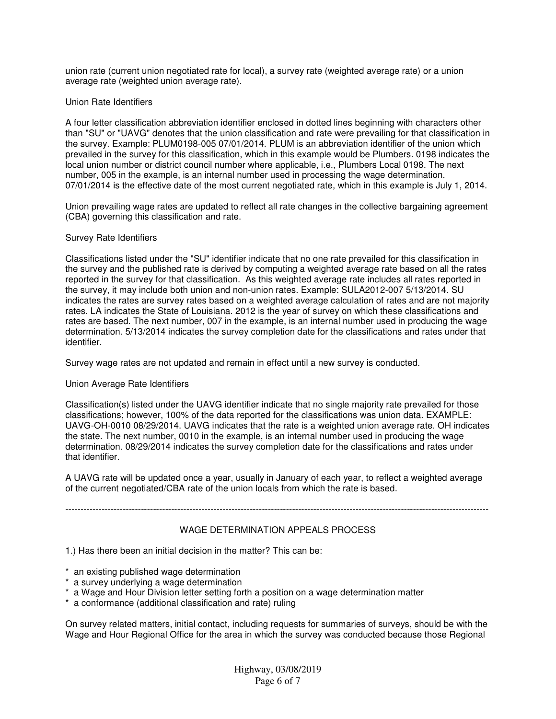union rate (current union negotiated rate for local), a survey rate (weighted average rate) or a union average rate (weighted union average rate).

### Union Rate Identifiers

A four letter classification abbreviation identifier enclosed in dotted lines beginning with characters other than "SU" or "UAVG" denotes that the union classification and rate were prevailing for that classification in the survey. Example: PLUM0198-005 07/01/2014. PLUM is an abbreviation identifier of the union which prevailed in the survey for this classification, which in this example would be Plumbers. 0198 indicates the local union number or district council number where applicable, i.e., Plumbers Local 0198. The next number, 005 in the example, is an internal number used in processing the wage determination. 07/01/2014 is the effective date of the most current negotiated rate, which in this example is July 1, 2014.

Union prevailing wage rates are updated to reflect all rate changes in the collective bargaining agreement (CBA) governing this classification and rate.

#### Survey Rate Identifiers

Classifications listed under the "SU" identifier indicate that no one rate prevailed for this classification in the survey and the published rate is derived by computing a weighted average rate based on all the rates reported in the survey for that classification. As this weighted average rate includes all rates reported in the survey, it may include both union and non-union rates. Example: SULA2012-007 5/13/2014. SU indicates the rates are survey rates based on a weighted average calculation of rates and are not majority rates. LA indicates the State of Louisiana. 2012 is the year of survey on which these classifications and rates are based. The next number, 007 in the example, is an internal number used in producing the wage determination. 5/13/2014 indicates the survey completion date for the classifications and rates under that identifier.

Survey wage rates are not updated and remain in effect until a new survey is conducted.

#### Union Average Rate Identifiers

Classification(s) listed under the UAVG identifier indicate that no single majority rate prevailed for those classifications; however, 100% of the data reported for the classifications was union data. EXAMPLE: UAVG-OH-0010 08/29/2014. UAVG indicates that the rate is a weighted union average rate. OH indicates the state. The next number, 0010 in the example, is an internal number used in producing the wage determination. 08/29/2014 indicates the survey completion date for the classifications and rates under that identifier.

A UAVG rate will be updated once a year, usually in January of each year, to reflect a weighted average of the current negotiated/CBA rate of the union locals from which the rate is based.

# --------------------------------------------------------------------------------------------------------------------------------------------

## WAGE DETERMINATION APPEALS PROCESS

1.) Has there been an initial decision in the matter? This can be:

- \* an existing published wage determination
- \* a survey underlying a wage determination
- \* a Wage and Hour Division letter setting forth a position on a wage determination matter
- \* a conformance (additional classification and rate) ruling

On survey related matters, initial contact, including requests for summaries of surveys, should be with the Wage and Hour Regional Office for the area in which the survey was conducted because those Regional